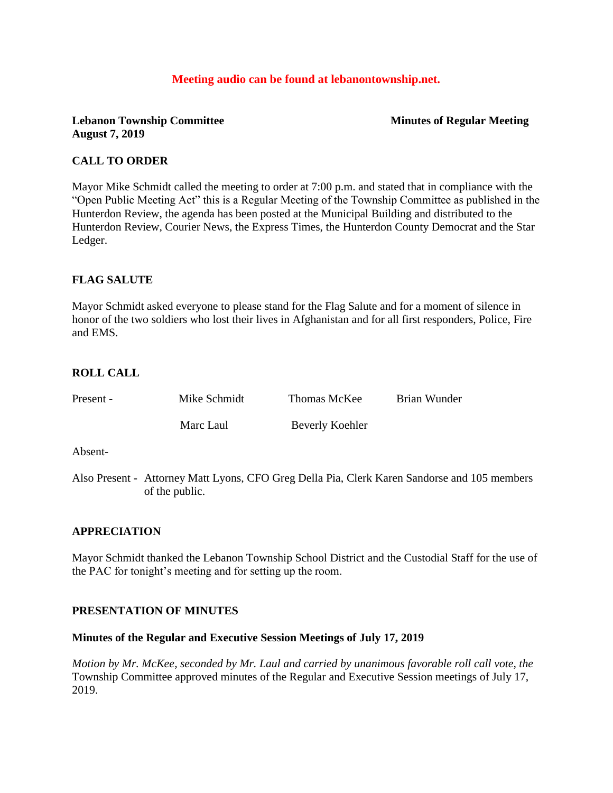## **Meeting audio can be found at lebanontownship.net.**

### **Lebanon Township Committee Minutes of Regular Meeting August 7, 2019**

### **CALL TO ORDER**

Mayor Mike Schmidt called the meeting to order at 7:00 p.m. and stated that in compliance with the "Open Public Meeting Act" this is a Regular Meeting of the Township Committee as published in the Hunterdon Review, the agenda has been posted at the Municipal Building and distributed to the Hunterdon Review, Courier News, the Express Times, the Hunterdon County Democrat and the Star Ledger.

## **FLAG SALUTE**

Mayor Schmidt asked everyone to please stand for the Flag Salute and for a moment of silence in honor of the two soldiers who lost their lives in Afghanistan and for all first responders, Police, Fire and EMS.

## **ROLL CALL**

| Present - | Mike Schmidt | Thomas McKee    | Brian Wunder |
|-----------|--------------|-----------------|--------------|
|           | Marc Laul    | Beverly Koehler |              |

Absent-

Also Present - Attorney Matt Lyons, CFO Greg Della Pia, Clerk Karen Sandorse and 105 members of the public.

### **APPRECIATION**

Mayor Schmidt thanked the Lebanon Township School District and the Custodial Staff for the use of the PAC for tonight's meeting and for setting up the room.

### **PRESENTATION OF MINUTES**

### **Minutes of the Regular and Executive Session Meetings of July 17, 2019**

*Motion by Mr. McKee, seconded by Mr. Laul and carried by unanimous favorable roll call vote, the* Township Committee approved minutes of the Regular and Executive Session meetings of July 17, 2019.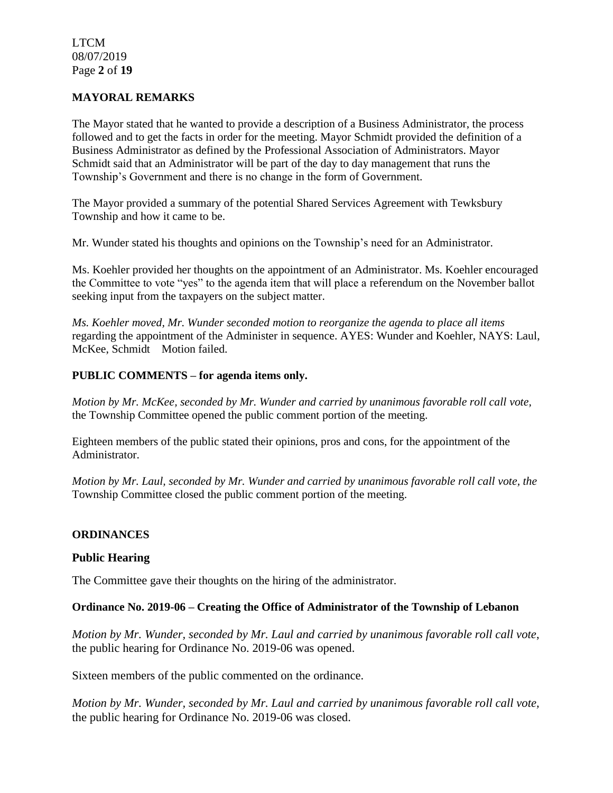LTCM 08/07/2019 Page **2** of **19**

#### **MAYORAL REMARKS**

The Mayor stated that he wanted to provide a description of a Business Administrator, the process followed and to get the facts in order for the meeting. Mayor Schmidt provided the definition of a Business Administrator as defined by the Professional Association of Administrators. Mayor Schmidt said that an Administrator will be part of the day to day management that runs the Township's Government and there is no change in the form of Government.

The Mayor provided a summary of the potential Shared Services Agreement with Tewksbury Township and how it came to be.

Mr. Wunder stated his thoughts and opinions on the Township's need for an Administrator.

Ms. Koehler provided her thoughts on the appointment of an Administrator. Ms. Koehler encouraged the Committee to vote "yes" to the agenda item that will place a referendum on the November ballot seeking input from the taxpayers on the subject matter.

*Ms. Koehler moved, Mr. Wunder seconded motion to reorganize the agenda to place all items*  regarding the appointment of the Administer in sequence. AYES: Wunder and Koehler, NAYS: Laul, McKee, Schmidt Motion failed.

#### **PUBLIC COMMENTS – for agenda items only.**

*Motion by Mr. McKee, seconded by Mr. Wunder and carried by unanimous favorable roll call vote,*  the Township Committee opened the public comment portion of the meeting.

Eighteen members of the public stated their opinions, pros and cons, for the appointment of the Administrator.

*Motion by Mr. Laul, seconded by Mr. Wunder and carried by unanimous favorable roll call vote, the* Township Committee closed the public comment portion of the meeting.

#### **ORDINANCES**

#### **Public Hearing**

The Committee gave their thoughts on the hiring of the administrator.

#### **Ordinance No. 2019-06 – Creating the Office of Administrator of the Township of Lebanon**

*Motion by Mr. Wunder, seconded by Mr. Laul and carried by unanimous favorable roll call vote*, the public hearing for Ordinance No. 2019-06 was opened.

Sixteen members of the public commented on the ordinance.

*Motion by Mr. Wunder, seconded by Mr. Laul and carried by unanimous favorable roll call vote,*  the public hearing for Ordinance No. 2019-06 was closed.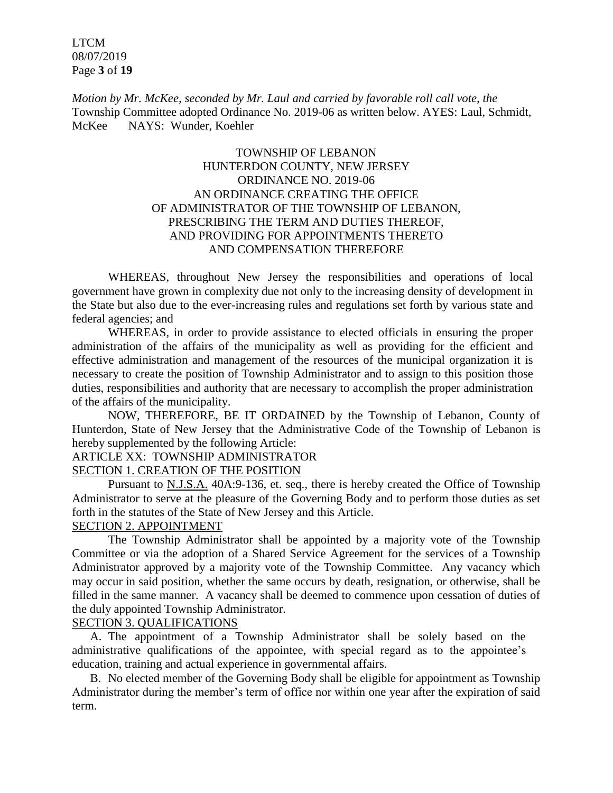LTCM 08/07/2019 Page **3** of **19**

*Motion by Mr. McKee, seconded by Mr. Laul and carried by favorable roll call vote, the* Township Committee adopted Ordinance No. 2019-06 as written below. AYES: Laul, Schmidt, McKee NAYS: Wunder, Koehler

## TOWNSHIP OF LEBANON HUNTERDON COUNTY, NEW JERSEY ORDINANCE NO. 2019-06 AN ORDINANCE CREATING THE OFFICE OF ADMINISTRATOR OF THE TOWNSHIP OF LEBANON, PRESCRIBING THE TERM AND DUTIES THEREOF, AND PROVIDING FOR APPOINTMENTS THERETO AND COMPENSATION THEREFORE

WHEREAS, throughout New Jersey the responsibilities and operations of local government have grown in complexity due not only to the increasing density of development in the State but also due to the ever-increasing rules and regulations set forth by various state and federal agencies; and

WHEREAS, in order to provide assistance to elected officials in ensuring the proper administration of the affairs of the municipality as well as providing for the efficient and effective administration and management of the resources of the municipal organization it is necessary to create the position of Township Administrator and to assign to this position those duties, responsibilities and authority that are necessary to accomplish the proper administration of the affairs of the municipality.

NOW, THEREFORE, BE IT ORDAINED by the Township of Lebanon, County of Hunterdon, State of New Jersey that the Administrative Code of the Township of Lebanon is hereby supplemented by the following Article:

### ARTICLE XX: TOWNSHIP ADMINISTRATOR SECTION 1. CREATION OF THE POSITION

Pursuant to N.J.S.A. 40A:9-136, et. seq., there is hereby created the Office of Township Administrator to serve at the pleasure of the Governing Body and to perform those duties as set forth in the statutes of the State of New Jersey and this Article.

### SECTION 2. APPOINTMENT

The Township Administrator shall be appointed by a majority vote of the Township Committee or via the adoption of a Shared Service Agreement for the services of a Township Administrator approved by a majority vote of the Township Committee. Any vacancy which may occur in said position, whether the same occurs by death, resignation, or otherwise, shall be filled in the same manner. A vacancy shall be deemed to commence upon cessation of duties of the duly appointed Township Administrator.

#### SECTION 3. QUALIFICATIONS

A. The appointment of a Township Administrator shall be solely based on the administrative qualifications of the appointee, with special regard as to the appointee's education, training and actual experience in governmental affairs.

B. No elected member of the Governing Body shall be eligible for appointment as Township Administrator during the member's term of office nor within one year after the expiration of said term.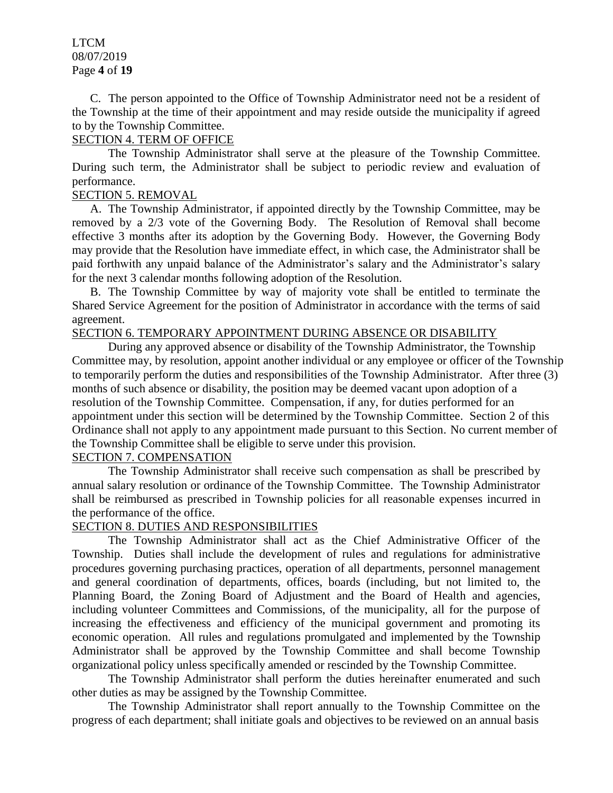LTCM 08/07/2019 Page **4** of **19**

 C. The person appointed to the Office of Township Administrator need not be a resident of the Township at the time of their appointment and may reside outside the municipality if agreed to by the Township Committee.

### SECTION 4. TERM OF OFFICE

The Township Administrator shall serve at the pleasure of the Township Committee. During such term, the Administrator shall be subject to periodic review and evaluation of performance.

## SECTION 5. REMOVAL

A. The Township Administrator, if appointed directly by the Township Committee, may be removed by a 2/3 vote of the Governing Body. The Resolution of Removal shall become effective 3 months after its adoption by the Governing Body. However, the Governing Body may provide that the Resolution have immediate effect, in which case, the Administrator shall be paid forthwith any unpaid balance of the Administrator's salary and the Administrator's salary for the next 3 calendar months following adoption of the Resolution.

B. The Township Committee by way of majority vote shall be entitled to terminate the Shared Service Agreement for the position of Administrator in accordance with the terms of said agreement.

## SECTION 6. TEMPORARY APPOINTMENT DURING ABSENCE OR DISABILITY

During any approved absence or disability of the Township Administrator, the Township Committee may, by resolution, appoint another individual or any employee or officer of the Township to temporarily perform the duties and responsibilities of the Township Administrator. After three (3) months of such absence or disability, the position may be deemed vacant upon adoption of a resolution of the Township Committee. Compensation, if any, for duties performed for an appointment under this section will be determined by the Township Committee. Section 2 of this Ordinance shall not apply to any appointment made pursuant to this Section. No current member of the Township Committee shall be eligible to serve under this provision.

### SECTION 7. COMPENSATION

The Township Administrator shall receive such compensation as shall be prescribed by annual salary resolution or ordinance of the Township Committee. The Township Administrator shall be reimbursed as prescribed in Township policies for all reasonable expenses incurred in the performance of the office.

### SECTION 8. DUTIES AND RESPONSIBILITIES

The Township Administrator shall act as the Chief Administrative Officer of the Township. Duties shall include the development of rules and regulations for administrative procedures governing purchasing practices, operation of all departments, personnel management and general coordination of departments, offices, boards (including, but not limited to, the Planning Board, the Zoning Board of Adjustment and the Board of Health and agencies, including volunteer Committees and Commissions, of the municipality, all for the purpose of increasing the effectiveness and efficiency of the municipal government and promoting its economic operation. All rules and regulations promulgated and implemented by the Township Administrator shall be approved by the Township Committee and shall become Township organizational policy unless specifically amended or rescinded by the Township Committee.

The Township Administrator shall perform the duties hereinafter enumerated and such other duties as may be assigned by the Township Committee.

The Township Administrator shall report annually to the Township Committee on the progress of each department; shall initiate goals and objectives to be reviewed on an annual basis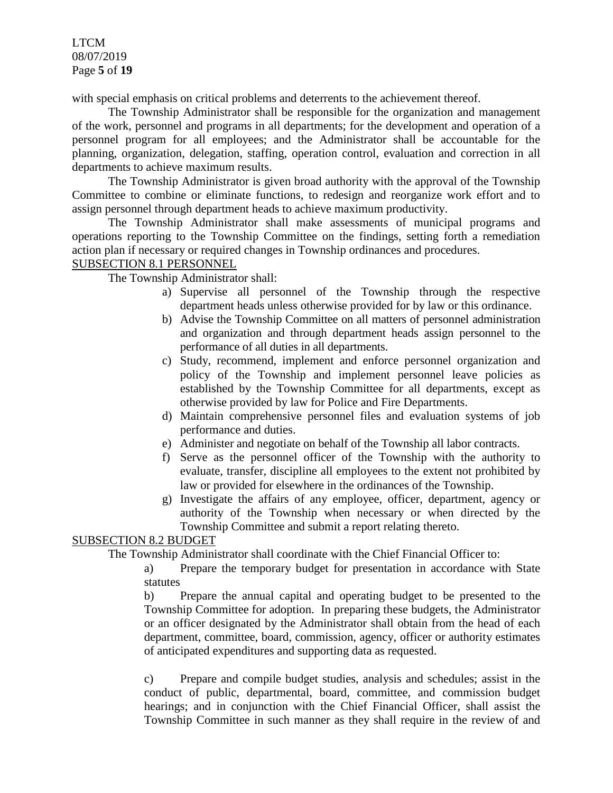LTCM 08/07/2019 Page **5** of **19**

with special emphasis on critical problems and deterrents to the achievement thereof.

The Township Administrator shall be responsible for the organization and management of the work, personnel and programs in all departments; for the development and operation of a personnel program for all employees; and the Administrator shall be accountable for the planning, organization, delegation, staffing, operation control, evaluation and correction in all departments to achieve maximum results.

The Township Administrator is given broad authority with the approval of the Township Committee to combine or eliminate functions, to redesign and reorganize work effort and to assign personnel through department heads to achieve maximum productivity.

The Township Administrator shall make assessments of municipal programs and operations reporting to the Township Committee on the findings, setting forth a remediation action plan if necessary or required changes in Township ordinances and procedures.

## SUBSECTION 8.1 PERSONNEL

The Township Administrator shall:

- a) Supervise all personnel of the Township through the respective department heads unless otherwise provided for by law or this ordinance.
- b) Advise the Township Committee on all matters of personnel administration and organization and through department heads assign personnel to the performance of all duties in all departments.
- c) Study, recommend, implement and enforce personnel organization and policy of the Township and implement personnel leave policies as established by the Township Committee for all departments, except as otherwise provided by law for Police and Fire Departments.
- d) Maintain comprehensive personnel files and evaluation systems of job performance and duties.
- e) Administer and negotiate on behalf of the Township all labor contracts.
- f) Serve as the personnel officer of the Township with the authority to evaluate, transfer, discipline all employees to the extent not prohibited by law or provided for elsewhere in the ordinances of the Township.
- g) Investigate the affairs of any employee, officer, department, agency or authority of the Township when necessary or when directed by the Township Committee and submit a report relating thereto.

### SUBSECTION 8.2 BUDGET

The Township Administrator shall coordinate with the Chief Financial Officer to:

a) Prepare the temporary budget for presentation in accordance with State statutes

b) Prepare the annual capital and operating budget to be presented to the Township Committee for adoption. In preparing these budgets, the Administrator or an officer designated by the Administrator shall obtain from the head of each department, committee, board, commission, agency, officer or authority estimates of anticipated expenditures and supporting data as requested.

c) Prepare and compile budget studies, analysis and schedules; assist in the conduct of public, departmental, board, committee, and commission budget hearings; and in conjunction with the Chief Financial Officer, shall assist the Township Committee in such manner as they shall require in the review of and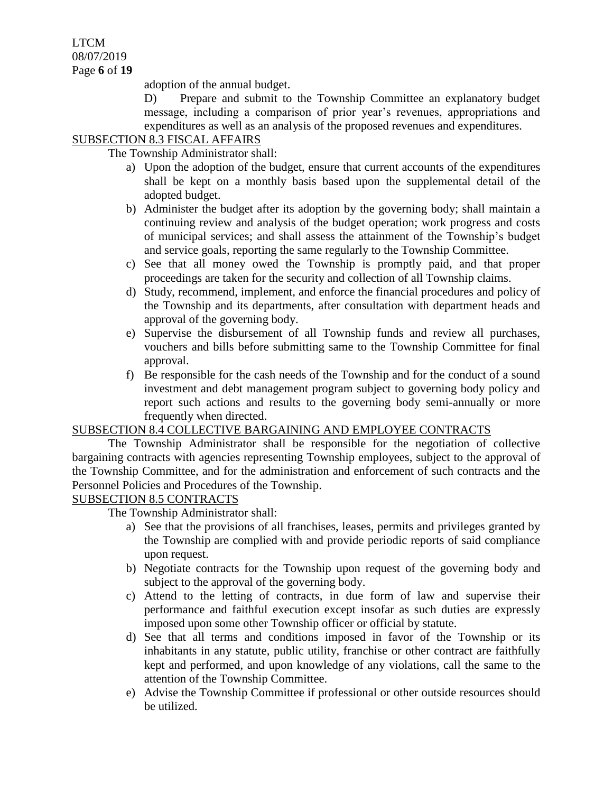LTCM 08/07/2019 Page **6** of **19**

adoption of the annual budget.

D) Prepare and submit to the Township Committee an explanatory budget message, including a comparison of prior year's revenues, appropriations and expenditures as well as an analysis of the proposed revenues and expenditures.

## SUBSECTION 8.3 FISCAL AFFAIRS

The Township Administrator shall:

- a) Upon the adoption of the budget, ensure that current accounts of the expenditures shall be kept on a monthly basis based upon the supplemental detail of the adopted budget.
- b) Administer the budget after its adoption by the governing body; shall maintain a continuing review and analysis of the budget operation; work progress and costs of municipal services; and shall assess the attainment of the Township's budget and service goals, reporting the same regularly to the Township Committee.
- c) See that all money owed the Township is promptly paid, and that proper proceedings are taken for the security and collection of all Township claims.
- d) Study, recommend, implement, and enforce the financial procedures and policy of the Township and its departments, after consultation with department heads and approval of the governing body.
- e) Supervise the disbursement of all Township funds and review all purchases, vouchers and bills before submitting same to the Township Committee for final approval.
- f) Be responsible for the cash needs of the Township and for the conduct of a sound investment and debt management program subject to governing body policy and report such actions and results to the governing body semi-annually or more frequently when directed.

## SUBSECTION 8.4 COLLECTIVE BARGAINING AND EMPLOYEE CONTRACTS

The Township Administrator shall be responsible for the negotiation of collective bargaining contracts with agencies representing Township employees, subject to the approval of the Township Committee, and for the administration and enforcement of such contracts and the Personnel Policies and Procedures of the Township.

### SUBSECTION 8.5 CONTRACTS

The Township Administrator shall:

- a) See that the provisions of all franchises, leases, permits and privileges granted by the Township are complied with and provide periodic reports of said compliance upon request.
- b) Negotiate contracts for the Township upon request of the governing body and subject to the approval of the governing body.
- c) Attend to the letting of contracts, in due form of law and supervise their performance and faithful execution except insofar as such duties are expressly imposed upon some other Township officer or official by statute.
- d) See that all terms and conditions imposed in favor of the Township or its inhabitants in any statute, public utility, franchise or other contract are faithfully kept and performed, and upon knowledge of any violations, call the same to the attention of the Township Committee.
- e) Advise the Township Committee if professional or other outside resources should be utilized.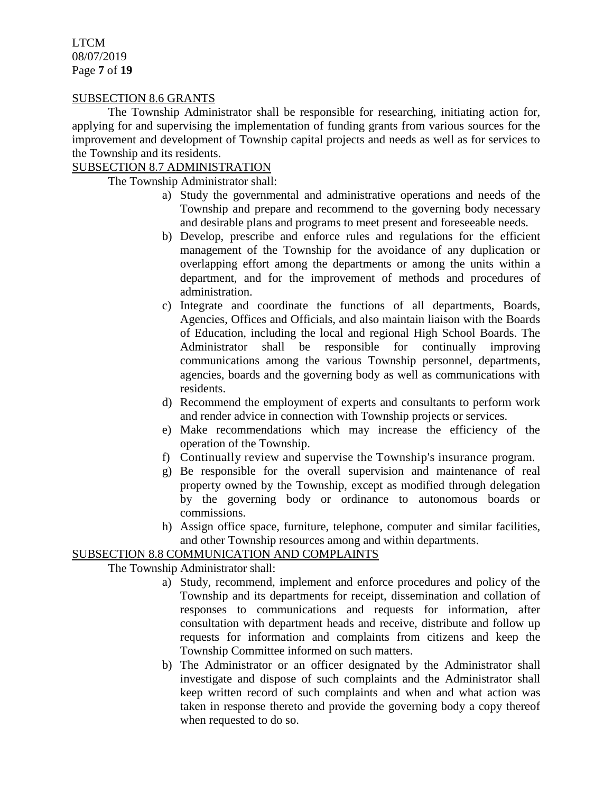LTCM 08/07/2019 Page **7** of **19**

### SUBSECTION 8.6 GRANTS

The Township Administrator shall be responsible for researching, initiating action for, applying for and supervising the implementation of funding grants from various sources for the improvement and development of Township capital projects and needs as well as for services to the Township and its residents.

#### SUBSECTION 8.7 ADMINISTRATION

The Township Administrator shall:

- a) Study the governmental and administrative operations and needs of the Township and prepare and recommend to the governing body necessary and desirable plans and programs to meet present and foreseeable needs.
- b) Develop, prescribe and enforce rules and regulations for the efficient management of the Township for the avoidance of any duplication or overlapping effort among the departments or among the units within a department, and for the improvement of methods and procedures of administration.
- c) Integrate and coordinate the functions of all departments, Boards, Agencies, Offices and Officials, and also maintain liaison with the Boards of Education, including the local and regional High School Boards. The Administrator shall be responsible for continually improving communications among the various Township personnel, departments, agencies, boards and the governing body as well as communications with residents.
- d) Recommend the employment of experts and consultants to perform work and render advice in connection with Township projects or services.
- e) Make recommendations which may increase the efficiency of the operation of the Township.
- f) Continually review and supervise the Township's insurance program.
- g) Be responsible for the overall supervision and maintenance of real property owned by the Township, except as modified through delegation by the governing body or ordinance to autonomous boards or commissions.
- h) Assign office space, furniture, telephone, computer and similar facilities, and other Township resources among and within departments.

### SUBSECTION 8.8 COMMUNICATION AND COMPLAINTS

The Township Administrator shall:

- a) Study, recommend, implement and enforce procedures and policy of the Township and its departments for receipt, dissemination and collation of responses to communications and requests for information, after consultation with department heads and receive, distribute and follow up requests for information and complaints from citizens and keep the Township Committee informed on such matters.
- b) The Administrator or an officer designated by the Administrator shall investigate and dispose of such complaints and the Administrator shall keep written record of such complaints and when and what action was taken in response thereto and provide the governing body a copy thereof when requested to do so.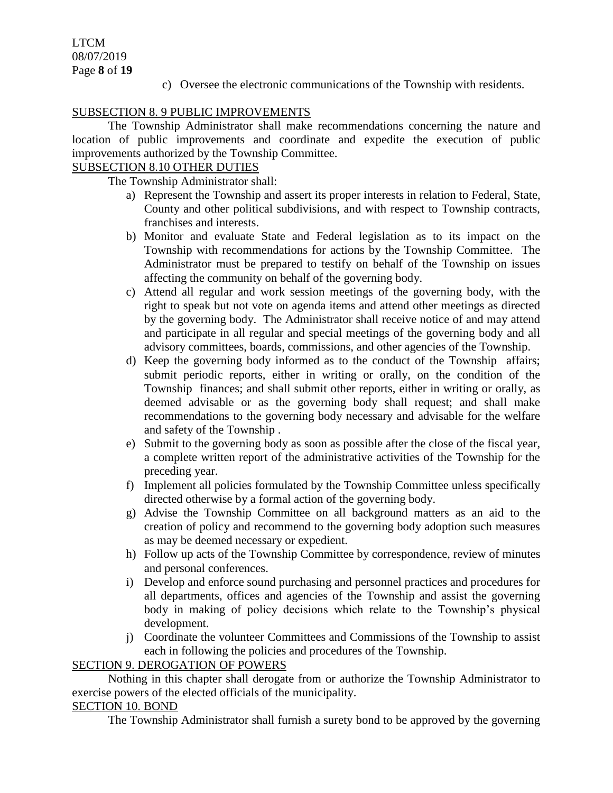LTCM 08/07/2019 Page **8** of **19**

c) Oversee the electronic communications of the Township with residents.

## SUBSECTION 8. 9 PUBLIC IMPROVEMENTS

The Township Administrator shall make recommendations concerning the nature and location of public improvements and coordinate and expedite the execution of public improvements authorized by the Township Committee.

### SUBSECTION 8.10 OTHER DUTIES

The Township Administrator shall:

- a) Represent the Township and assert its proper interests in relation to Federal, State, County and other political subdivisions, and with respect to Township contracts, franchises and interests.
- b) Monitor and evaluate State and Federal legislation as to its impact on the Township with recommendations for actions by the Township Committee. The Administrator must be prepared to testify on behalf of the Township on issues affecting the community on behalf of the governing body.
- c) Attend all regular and work session meetings of the governing body, with the right to speak but not vote on agenda items and attend other meetings as directed by the governing body. The Administrator shall receive notice of and may attend and participate in all regular and special meetings of the governing body and all advisory committees, boards, commissions, and other agencies of the Township.
- d) Keep the governing body informed as to the conduct of the Township affairs; submit periodic reports, either in writing or orally, on the condition of the Township finances; and shall submit other reports, either in writing or orally, as deemed advisable or as the governing body shall request; and shall make recommendations to the governing body necessary and advisable for the welfare and safety of the Township .
- e) Submit to the governing body as soon as possible after the close of the fiscal year, a complete written report of the administrative activities of the Township for the preceding year.
- f) Implement all policies formulated by the Township Committee unless specifically directed otherwise by a formal action of the governing body.
- g) Advise the Township Committee on all background matters as an aid to the creation of policy and recommend to the governing body adoption such measures as may be deemed necessary or expedient.
- h) Follow up acts of the Township Committee by correspondence, review of minutes and personal conferences.
- i) Develop and enforce sound purchasing and personnel practices and procedures for all departments, offices and agencies of the Township and assist the governing body in making of policy decisions which relate to the Township's physical development.
- j) Coordinate the volunteer Committees and Commissions of the Township to assist each in following the policies and procedures of the Township.

### SECTION 9. DEROGATION OF POWERS

Nothing in this chapter shall derogate from or authorize the Township Administrator to exercise powers of the elected officials of the municipality.

## SECTION 10. BOND

The Township Administrator shall furnish a surety bond to be approved by the governing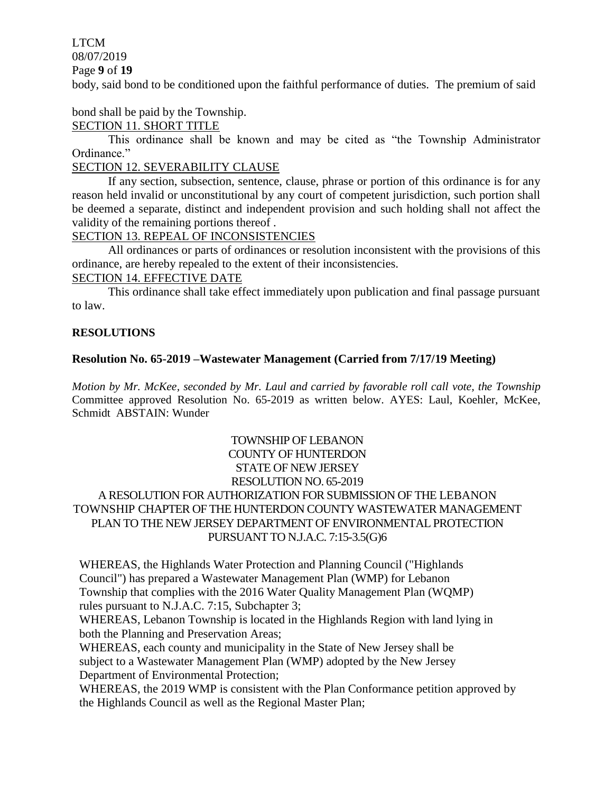## LTCM

08/07/2019

Page **9** of **19**

body, said bond to be conditioned upon the faithful performance of duties. The premium of said

## bond shall be paid by the Township.

## SECTION 11. SHORT TITLE

This ordinance shall be known and may be cited as "the Township Administrator Ordinance."

## SECTION 12. SEVERABILITY CLAUSE

If any section, subsection, sentence, clause, phrase or portion of this ordinance is for any reason held invalid or unconstitutional by any court of competent jurisdiction, such portion shall be deemed a separate, distinct and independent provision and such holding shall not affect the validity of the remaining portions thereof .

### SECTION 13. REPEAL OF INCONSISTENCIES

All ordinances or parts of ordinances or resolution inconsistent with the provisions of this ordinance, are hereby repealed to the extent of their inconsistencies.

### SECTION 14. EFFECTIVE DATE

This ordinance shall take effect immediately upon publication and final passage pursuant to law.

## **RESOLUTIONS**

## **Resolution No. 65-2019 –Wastewater Management (Carried from 7/17/19 Meeting)**

*Motion by Mr. McKee, seconded by Mr. Laul and carried by favorable roll call vote, the Township* Committee approved Resolution No. 65-2019 as written below. AYES: Laul, Koehler, McKee, Schmidt ABSTAIN: Wunder

## TOWNSHIP OF LEBANON COUNTY OF HUNTERDON STATE OF NEW JERSEY RESOLUTION NO. 65-2019 A RESOLUTION FOR AUTHORIZATION FOR SUBMISSION OF THE LEBANON TOWNSHIP CHAPTER OF THE HUNTERDON COUNTY WASTEWATER MANAGEMENT PLAN TO THE NEW JERSEY DEPARTMENT OF ENVIRONMENTAL PROTECTION PURSUANT TO N.J.A.C. 7:15-3.5(G)6

WHEREAS, the Highlands Water Protection and Planning Council ("Highlands Council") has prepared a Wastewater Management Plan (WMP) for Lebanon Township that complies with the 2016 Water Quality Management Plan (WQMP) rules pursuant to N.J.A.C. 7:15, Subchapter 3;

WHEREAS, Lebanon Township is located in the Highlands Region with land lying in both the Planning and Preservation Areas;

WHEREAS, each county and municipality in the State of New Jersey shall be subject to a Wastewater Management Plan (WMP) adopted by the New Jersey Department of Environmental Protection;

WHEREAS, the 2019 WMP is consistent with the Plan Conformance petition approved by the Highlands Council as well as the Regional Master Plan;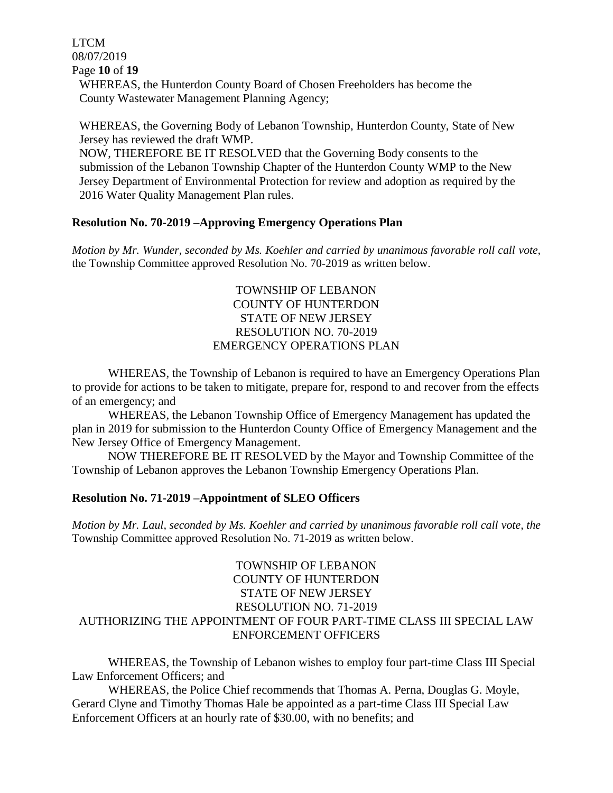LTCM 08/07/2019 Page **10** of **19**

> WHEREAS, the Hunterdon County Board of Chosen Freeholders has become the County Wastewater Management Planning Agency;

WHEREAS, the Governing Body of Lebanon Township, Hunterdon County, State of New Jersey has reviewed the draft WMP.

NOW, THEREFORE BE IT RESOLVED that the Governing Body consents to the submission of the Lebanon Township Chapter of the Hunterdon County WMP to the New Jersey Department of Environmental Protection for review and adoption as required by the 2016 Water Quality Management Plan rules.

#### **Resolution No. 70-2019 –Approving Emergency Operations Plan**

*Motion by Mr. Wunder, seconded by Ms. Koehler and carried by unanimous favorable roll call vote,*  the Township Committee approved Resolution No. 70-2019 as written below.

## TOWNSHIP OF LEBANON COUNTY OF HUNTERDON STATE OF NEW JERSEY RESOLUTION NO. 70-2019 EMERGENCY OPERATIONS PLAN

WHEREAS, the Township of Lebanon is required to have an Emergency Operations Plan to provide for actions to be taken to mitigate, prepare for, respond to and recover from the effects of an emergency; and

WHEREAS, the Lebanon Township Office of Emergency Management has updated the plan in 2019 for submission to the Hunterdon County Office of Emergency Management and the New Jersey Office of Emergency Management.

NOW THEREFORE BE IT RESOLVED by the Mayor and Township Committee of the Township of Lebanon approves the Lebanon Township Emergency Operations Plan.

#### **Resolution No. 71-2019 –Appointment of SLEO Officers**

*Motion by Mr. Laul, seconded by Ms. Koehler and carried by unanimous favorable roll call vote, the* Township Committee approved Resolution No. 71-2019 as written below.

## TOWNSHIP OF LEBANON COUNTY OF HUNTERDON STATE OF NEW JERSEY RESOLUTION NO. 71-2019 AUTHORIZING THE APPOINTMENT OF FOUR PART-TIME CLASS III SPECIAL LAW ENFORCEMENT OFFICERS

WHEREAS, the Township of Lebanon wishes to employ four part-time Class III Special Law Enforcement Officers; and

WHEREAS, the Police Chief recommends that Thomas A. Perna, Douglas G. Moyle, Gerard Clyne and Timothy Thomas Hale be appointed as a part-time Class III Special Law Enforcement Officers at an hourly rate of \$30.00, with no benefits; and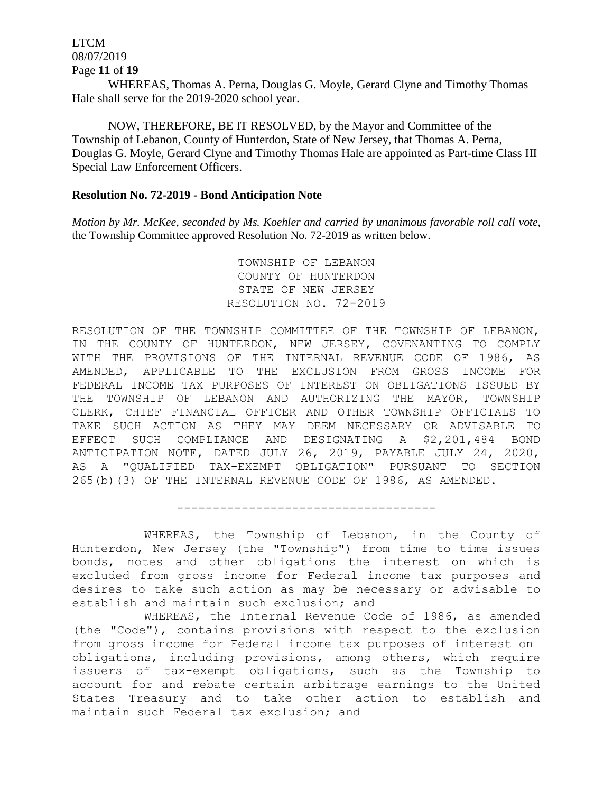LTCM 08/07/2019 Page **11** of **19**

WHEREAS, Thomas A. Perna, Douglas G. Moyle, Gerard Clyne and Timothy Thomas Hale shall serve for the 2019-2020 school year.

NOW, THEREFORE, BE IT RESOLVED, by the Mayor and Committee of the Township of Lebanon, County of Hunterdon, State of New Jersey, that Thomas A. Perna, Douglas G. Moyle, Gerard Clyne and Timothy Thomas Hale are appointed as Part-time Class III Special Law Enforcement Officers.

#### **Resolution No. 72-2019 - Bond Anticipation Note**

*Motion by Mr. McKee, seconded by Ms. Koehler and carried by unanimous favorable roll call vote,*  the Township Committee approved Resolution No. 72-2019 as written below.

> TOWNSHIP OF LEBANON COUNTY OF HUNTERDON STATE OF NEW JERSEY RESOLUTION NO. 72-2019

RESOLUTION OF THE TOWNSHIP COMMITTEE OF THE TOWNSHIP OF LEBANON, IN THE COUNTY OF HUNTERDON, NEW JERSEY, COVENANTING TO COMPLY WITH THE PROVISIONS OF THE INTERNAL REVENUE CODE OF 1986, AS AMENDED, APPLICABLE TO THE EXCLUSION FROM GROSS INCOME FOR FEDERAL INCOME TAX PURPOSES OF INTEREST ON OBLIGATIONS ISSUED BY THE TOWNSHIP OF LEBANON AND AUTHORIZING THE MAYOR, TOWNSHIP CLERK, CHIEF FINANCIAL OFFICER AND OTHER TOWNSHIP OFFICIALS TO TAKE SUCH ACTION AS THEY MAY DEEM NECESSARY OR ADVISABLE TO EFFECT SUCH COMPLIANCE AND DESIGNATING A \$2,201,484 BOND ANTICIPATION NOTE, DATED JULY 26, 2019, PAYABLE JULY 24, 2020, AS A "QUALIFIED TAX-EXEMPT OBLIGATION" PURSUANT TO SECTION 265(b)(3) OF THE INTERNAL REVENUE CODE OF 1986, AS AMENDED.

WHEREAS, the Township of Lebanon, in the County of Hunterdon, New Jersey (the "Township") from time to time issues bonds, notes and other obligations the interest on which is excluded from gross income for Federal income tax purposes and desires to take such action as may be necessary or advisable to establish and maintain such exclusion; and

------------------------------------

WHEREAS, the Internal Revenue Code of 1986, as amended (the "Code"), contains provisions with respect to the exclusion from gross income for Federal income tax purposes of interest on obligations, including provisions, among others, which require issuers of tax-exempt obligations, such as the Township to account for and rebate certain arbitrage earnings to the United States Treasury and to take other action to establish and maintain such Federal tax exclusion; and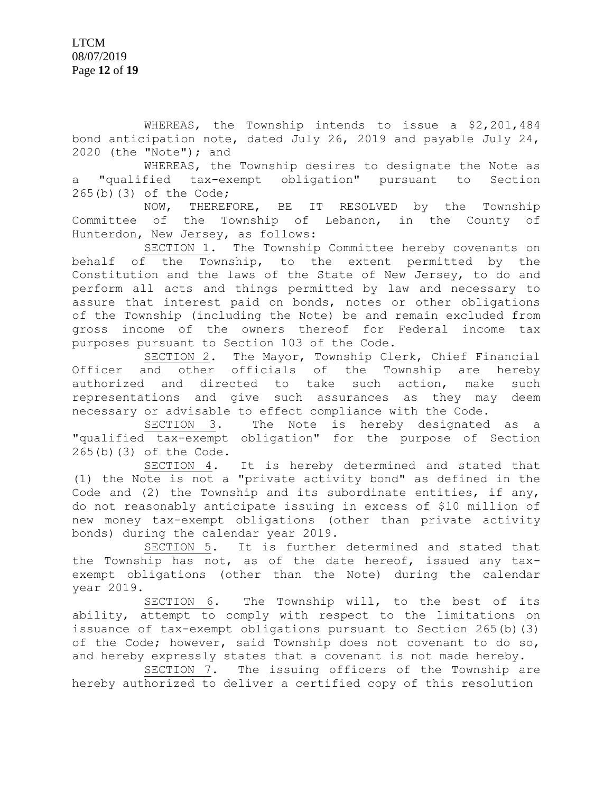WHEREAS, the Township intends to issue a \$2,201,484 bond anticipation note, dated July 26, 2019 and payable July 24, 2020 (the "Note"); and

WHEREAS, the Township desires to designate the Note as a "qualified tax-exempt obligation" pursuant to Section 265(b)(3) of the Code;

NOW, THEREFORE, BE IT RESOLVED by the Township Committee of the Township of Lebanon, in the County of Hunterdon, New Jersey, as follows:

SECTION 1. The Township Committee hereby covenants on behalf of the Township, to the extent permitted by the Constitution and the laws of the State of New Jersey, to do and perform all acts and things permitted by law and necessary to assure that interest paid on bonds, notes or other obligations of the Township (including the Note) be and remain excluded from gross income of the owners thereof for Federal income tax purposes pursuant to Section 103 of the Code.

SECTION 2. The Mayor, Township Clerk, Chief Financial Officer and other officials of the Township are hereby authorized and directed to take such action, make such representations and give such assurances as they may deem necessary or advisable to effect compliance with the Code.

SECTION 3. The Note is hereby designated as a "qualified tax-exempt obligation" for the purpose of Section 265(b)(3) of the Code.

SECTION 4. It is hereby determined and stated that (1) the Note is not a "private activity bond" as defined in the Code and (2) the Township and its subordinate entities, if any, do not reasonably anticipate issuing in excess of \$10 million of new money tax-exempt obligations (other than private activity bonds) during the calendar year 2019.

SECTION 5. It is further determined and stated that the Township has not, as of the date hereof, issued any taxexempt obligations (other than the Note) during the calendar year 2019.

SECTION 6. The Township will, to the best of its ability, attempt to comply with respect to the limitations on issuance of tax-exempt obligations pursuant to Section 265(b)(3) of the Code; however, said Township does not covenant to do so, and hereby expressly states that a covenant is not made hereby.

SECTION 7. The issuing officers of the Township are hereby authorized to deliver a certified copy of this resolution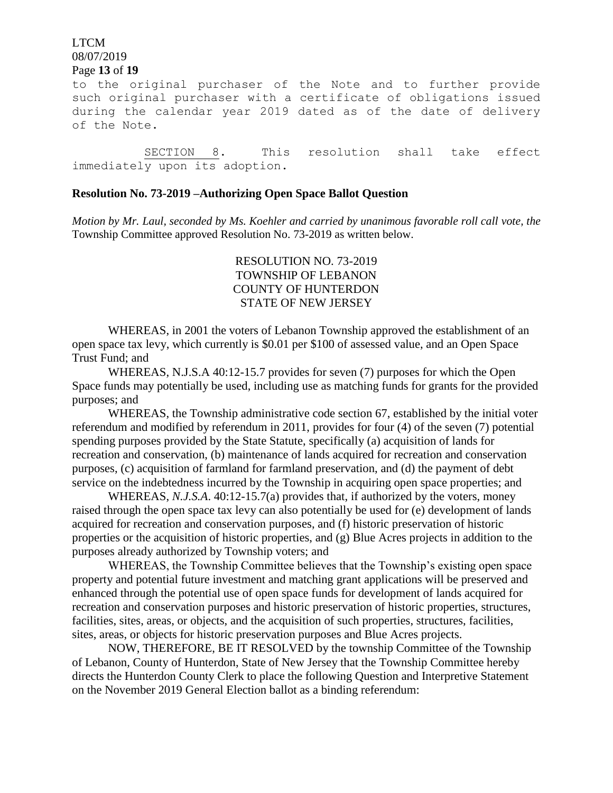# LTCM 08/07/2019

#### Page **13** of **19**

to the original purchaser of the Note and to further provide such original purchaser with a certificate of obligations issued during the calendar year 2019 dated as of the date of delivery of the Note.

SECTION 8. This resolution shall take effect immediately upon its adoption.

#### **Resolution No. 73-2019 –Authorizing Open Space Ballot Question**

*Motion by Mr. Laul, seconded by Ms. Koehler and carried by unanimous favorable roll call vote, the* Township Committee approved Resolution No. 73-2019 as written below.

## RESOLUTION NO. 73-2019 TOWNSHIP OF LEBANON COUNTY OF HUNTERDON STATE OF NEW JERSEY

WHEREAS, in 2001 the voters of Lebanon Township approved the establishment of an open space tax levy, which currently is \$0.01 per \$100 of assessed value, and an Open Space Trust Fund; and

WHEREAS, N.J.S.A 40:12-15.7 provides for seven (7) purposes for which the Open Space funds may potentially be used, including use as matching funds for grants for the provided purposes; and

WHEREAS, the Township administrative code section 67, established by the initial voter referendum and modified by referendum in 2011, provides for four (4) of the seven (7) potential spending purposes provided by the State Statute, specifically (a) acquisition of lands for recreation and conservation, (b) maintenance of lands acquired for recreation and conservation purposes, (c) acquisition of farmland for farmland preservation, and (d) the payment of debt service on the indebtedness incurred by the Township in acquiring open space properties; and

WHEREAS, *N.J.S.A*. 40:12-15.7(a) provides that, if authorized by the voters, money raised through the open space tax levy can also potentially be used for (e) development of lands acquired for recreation and conservation purposes, and (f) historic preservation of historic properties or the acquisition of historic properties, and (g) Blue Acres projects in addition to the purposes already authorized by Township voters; and

WHEREAS, the Township Committee believes that the Township's existing open space property and potential future investment and matching grant applications will be preserved and enhanced through the potential use of open space funds for development of lands acquired for recreation and conservation purposes and historic preservation of historic properties, structures, facilities, sites, areas, or objects, and the acquisition of such properties, structures, facilities, sites, areas, or objects for historic preservation purposes and Blue Acres projects.

NOW, THEREFORE, BE IT RESOLVED by the township Committee of the Township of Lebanon, County of Hunterdon, State of New Jersey that the Township Committee hereby directs the Hunterdon County Clerk to place the following Question and Interpretive Statement on the November 2019 General Election ballot as a binding referendum: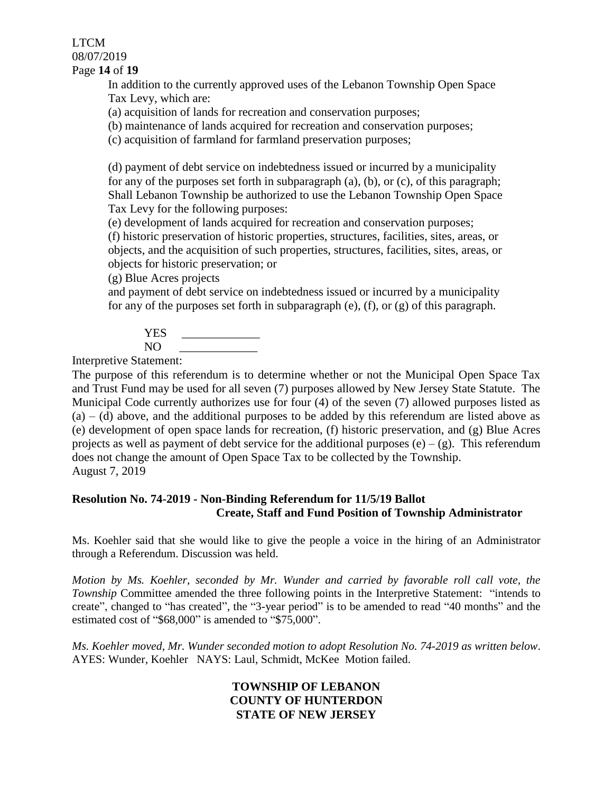LTCM 08/07/2019 Page **14** of **19**

> In addition to the currently approved uses of the Lebanon Township Open Space Tax Levy, which are:

(a) acquisition of lands for recreation and conservation purposes;

(b) maintenance of lands acquired for recreation and conservation purposes;

(c) acquisition of farmland for farmland preservation purposes;

(d) payment of debt service on indebtedness issued or incurred by a municipality for any of the purposes set forth in subparagraph (a), (b), or (c), of this paragraph; Shall Lebanon Township be authorized to use the Lebanon Township Open Space Tax Levy for the following purposes:

(e) development of lands acquired for recreation and conservation purposes;

(f) historic preservation of historic properties, structures, facilities, sites, areas, or objects, and the acquisition of such properties, structures, facilities, sites, areas, or objects for historic preservation; or

(g) Blue Acres projects

and payment of debt service on indebtedness issued or incurred by a municipality for any of the purposes set forth in subparagraph (e), (f), or (g) of this paragraph.

YES.  $NO$ 

Interpretive Statement:

The purpose of this referendum is to determine whether or not the Municipal Open Space Tax and Trust Fund may be used for all seven (7) purposes allowed by New Jersey State Statute. The Municipal Code currently authorizes use for four (4) of the seven (7) allowed purposes listed as  $(a) - (d)$  above, and the additional purposes to be added by this referendum are listed above as (e) development of open space lands for recreation, (f) historic preservation, and (g) Blue Acres projects as well as payment of debt service for the additional purposes  $(e) - (g)$ . This referendum does not change the amount of Open Space Tax to be collected by the Township. August 7, 2019

## **Resolution No. 74-2019 - Non-Binding Referendum for 11/5/19 Ballot Create, Staff and Fund Position of Township Administrator**

Ms. Koehler said that she would like to give the people a voice in the hiring of an Administrator through a Referendum. Discussion was held.

*Motion by Ms. Koehler, seconded by Mr. Wunder and carried by favorable roll call vote, the Township* Committee amended the three following points in the Interpretive Statement: "intends to create", changed to "has created", the "3-year period" is to be amended to read "40 months" and the estimated cost of "\$68,000" is amended to "\$75,000".

*Ms. Koehler moved, Mr. Wunder seconded motion to adopt Resolution No. 74-2019 as written below*. AYES: Wunder, Koehler NAYS: Laul, Schmidt, McKee Motion failed.

## **TOWNSHIP OF LEBANON COUNTY OF HUNTERDON STATE OF NEW JERSEY**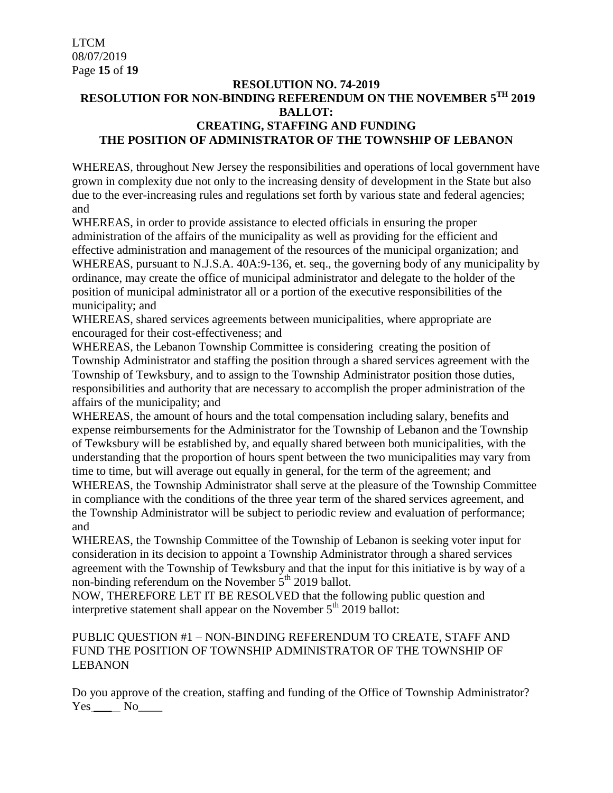## **RESOLUTION NO. 74-2019 RESOLUTION FOR NON-BINDING REFERENDUM ON THE NOVEMBER 5TH 2019 BALLOT: CREATING, STAFFING AND FUNDING THE POSITION OF ADMINISTRATOR OF THE TOWNSHIP OF LEBANON**

WHEREAS, throughout New Jersey the responsibilities and operations of local government have grown in complexity due not only to the increasing density of development in the State but also due to the ever-increasing rules and regulations set forth by various state and federal agencies; and

WHEREAS, in order to provide assistance to elected officials in ensuring the proper administration of the affairs of the municipality as well as providing for the efficient and effective administration and management of the resources of the municipal organization; and WHEREAS, pursuant to N.J.S.A. 40A:9-136, et. seq., the governing body of any municipality by ordinance, may create the office of municipal administrator and delegate to the holder of the position of municipal administrator all or a portion of the executive responsibilities of the municipality; and

WHEREAS, shared services agreements between municipalities, where appropriate are encouraged for their cost-effectiveness; and

WHEREAS, the Lebanon Township Committee is considering creating the position of Township Administrator and staffing the position through a shared services agreement with the Township of Tewksbury, and to assign to the Township Administrator position those duties, responsibilities and authority that are necessary to accomplish the proper administration of the affairs of the municipality; and

WHEREAS, the amount of hours and the total compensation including salary, benefits and expense reimbursements for the Administrator for the Township of Lebanon and the Township of Tewksbury will be established by, and equally shared between both municipalities, with the understanding that the proportion of hours spent between the two municipalities may vary from time to time, but will average out equally in general, for the term of the agreement; and WHEREAS, the Township Administrator shall serve at the pleasure of the Township Committee in compliance with the conditions of the three year term of the shared services agreement, and the Township Administrator will be subject to periodic review and evaluation of performance; and

WHEREAS, the Township Committee of the Township of Lebanon is seeking voter input for consideration in its decision to appoint a Township Administrator through a shared services agreement with the Township of Tewksbury and that the input for this initiative is by way of a non-binding referendum on the November  $5<sup>th</sup>$  2019 ballot.

NOW, THEREFORE LET IT BE RESOLVED that the following public question and interpretive statement shall appear on the November  $5<sup>th</sup>$  2019 ballot:

## PUBLIC QUESTION #1 – NON-BINDING REFERENDUM TO CREATE, STAFF AND FUND THE POSITION OF TOWNSHIP ADMINISTRATOR OF THE TOWNSHIP OF LEBANON

Do you approve of the creation, staffing and funding of the Office of Township Administrator? Yes No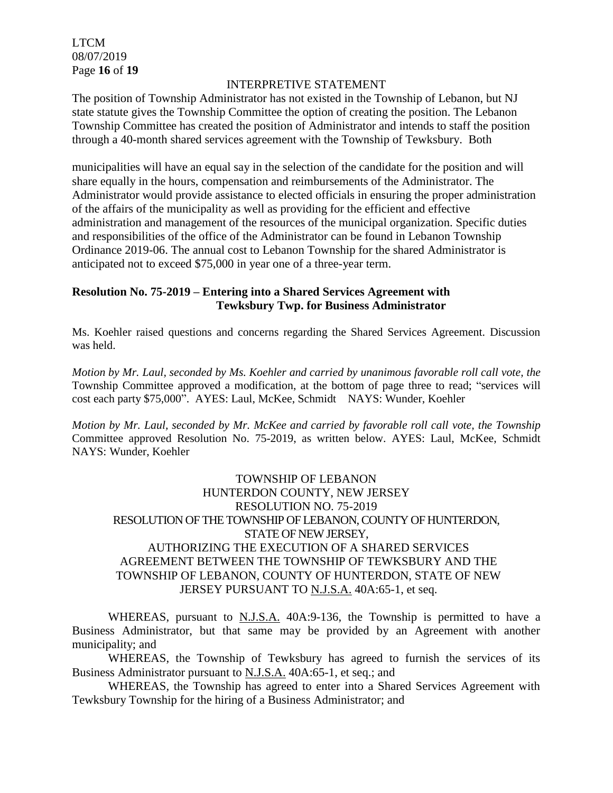LTCM 08/07/2019 Page **16** of **19**

### INTERPRETIVE STATEMENT

The position of Township Administrator has not existed in the Township of Lebanon, but NJ state statute gives the Township Committee the option of creating the position. The Lebanon Township Committee has created the position of Administrator and intends to staff the position through a 40-month shared services agreement with the Township of Tewksbury. Both

municipalities will have an equal say in the selection of the candidate for the position and will share equally in the hours, compensation and reimbursements of the Administrator. The Administrator would provide assistance to elected officials in ensuring the proper administration of the affairs of the municipality as well as providing for the efficient and effective administration and management of the resources of the municipal organization. Specific duties and responsibilities of the office of the Administrator can be found in Lebanon Township Ordinance 2019-06. The annual cost to Lebanon Township for the shared Administrator is anticipated not to exceed \$75,000 in year one of a three-year term.

## **Resolution No. 75-2019 – Entering into a Shared Services Agreement with Tewksbury Twp. for Business Administrator**

Ms. Koehler raised questions and concerns regarding the Shared Services Agreement. Discussion was held.

*Motion by Mr. Laul, seconded by Ms. Koehler and carried by unanimous favorable roll call vote, the*  Township Committee approved a modification, at the bottom of page three to read; "services will cost each party \$75,000". AYES: Laul, McKee, Schmidt NAYS: Wunder, Koehler

*Motion by Mr. Laul, seconded by Mr. McKee and carried by favorable roll call vote, the Township* Committee approved Resolution No. 75-2019, as written below. AYES: Laul, McKee, Schmidt NAYS: Wunder, Koehler

## TOWNSHIP OF LEBANON HUNTERDON COUNTY, NEW JERSEY RESOLUTION NO. 75-2019 RESOLUTION OF THE TOWNSHIP OF LEBANON, COUNTY OF HUNTERDON, STATE OF NEW JERSEY, AUTHORIZING THE EXECUTION OF A SHARED SERVICES AGREEMENT BETWEEN THE TOWNSHIP OF TEWKSBURY AND THE TOWNSHIP OF LEBANON, COUNTY OF HUNTERDON, STATE OF NEW JERSEY PURSUANT TO N.J.S.A. 40A:65-1, et seq.

WHEREAS, pursuant to N.J.S.A. 40A:9-136, the Township is permitted to have a Business Administrator, but that same may be provided by an Agreement with another municipality; and

WHEREAS, the Township of Tewksbury has agreed to furnish the services of its Business Administrator pursuant to N.J.S.A. 40A:65-1, et seq.; and

WHEREAS, the Township has agreed to enter into a Shared Services Agreement with Tewksbury Township for the hiring of a Business Administrator; and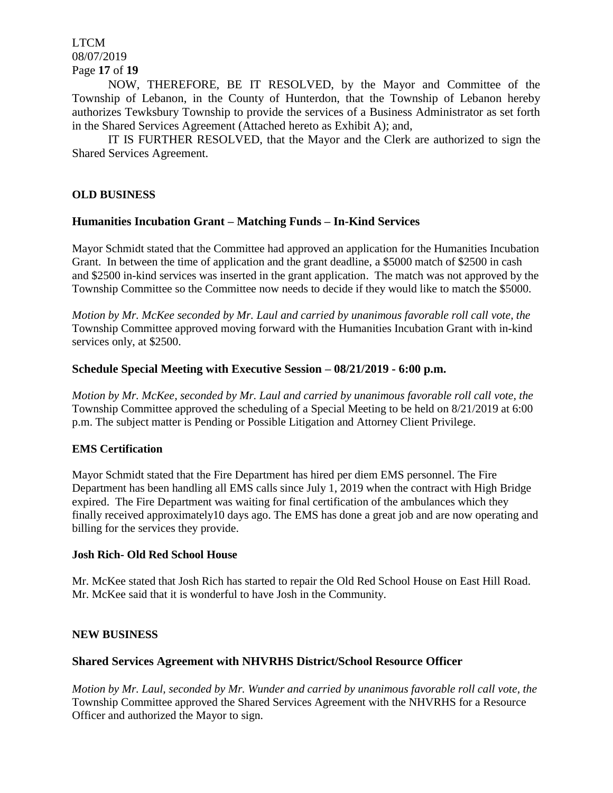LTCM 08/07/2019 Page **17** of **19**

NOW, THEREFORE, BE IT RESOLVED, by the Mayor and Committee of the Township of Lebanon, in the County of Hunterdon, that the Township of Lebanon hereby authorizes Tewksbury Township to provide the services of a Business Administrator as set forth in the Shared Services Agreement (Attached hereto as Exhibit A); and,

IT IS FURTHER RESOLVED, that the Mayor and the Clerk are authorized to sign the Shared Services Agreement.

### **OLD BUSINESS**

#### **Humanities Incubation Grant – Matching Funds – In-Kind Services**

Mayor Schmidt stated that the Committee had approved an application for the Humanities Incubation Grant. In between the time of application and the grant deadline, a \$5000 match of \$2500 in cash and \$2500 in-kind services was inserted in the grant application. The match was not approved by the Township Committee so the Committee now needs to decide if they would like to match the \$5000.

*Motion by Mr. McKee seconded by Mr. Laul and carried by unanimous favorable roll call vote, the* Township Committee approved moving forward with the Humanities Incubation Grant with in-kind services only, at \$2500.

#### **Schedule Special Meeting with Executive Session – 08/21/2019 - 6:00 p.m.**

*Motion by Mr. McKee, seconded by Mr. Laul and carried by unanimous favorable roll call vote, the* Township Committee approved the scheduling of a Special Meeting to be held on 8/21/2019 at 6:00 p.m. The subject matter is Pending or Possible Litigation and Attorney Client Privilege.

#### **EMS Certification**

Mayor Schmidt stated that the Fire Department has hired per diem EMS personnel. The Fire Department has been handling all EMS calls since July 1, 2019 when the contract with High Bridge expired. The Fire Department was waiting for final certification of the ambulances which they finally received approximately10 days ago. The EMS has done a great job and are now operating and billing for the services they provide.

#### **Josh Rich- Old Red School House**

Mr. McKee stated that Josh Rich has started to repair the Old Red School House on East Hill Road. Mr. McKee said that it is wonderful to have Josh in the Community.

#### **NEW BUSINESS**

#### **Shared Services Agreement with NHVRHS District/School Resource Officer**

*Motion by Mr. Laul, seconded by Mr. Wunder and carried by unanimous favorable roll call vote, the* Township Committee approved the Shared Services Agreement with the NHVRHS for a Resource Officer and authorized the Mayor to sign.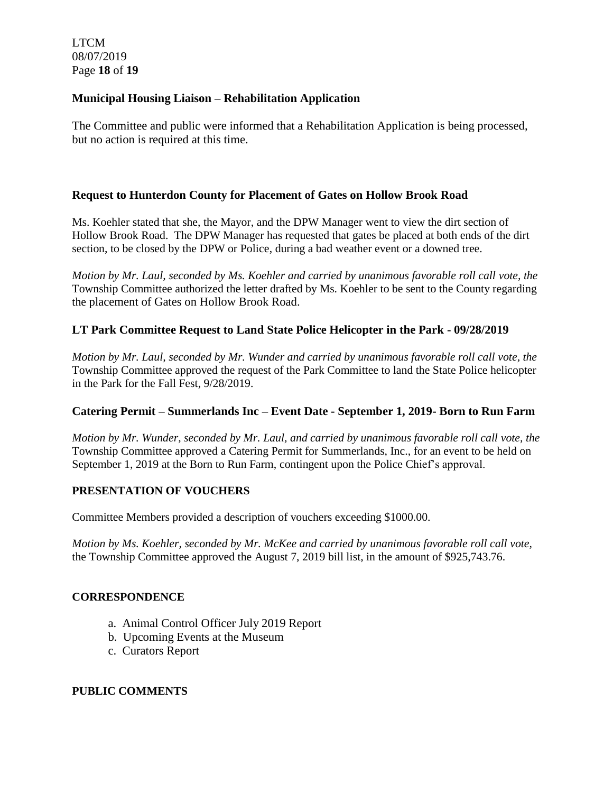LTCM 08/07/2019 Page **18** of **19**

## **Municipal Housing Liaison – Rehabilitation Application**

The Committee and public were informed that a Rehabilitation Application is being processed, but no action is required at this time.

### **Request to Hunterdon County for Placement of Gates on Hollow Brook Road**

Ms. Koehler stated that she, the Mayor, and the DPW Manager went to view the dirt section of Hollow Brook Road. The DPW Manager has requested that gates be placed at both ends of the dirt section, to be closed by the DPW or Police, during a bad weather event or a downed tree.

*Motion by Mr. Laul, seconded by Ms. Koehler and carried by unanimous favorable roll call vote, the* Township Committee authorized the letter drafted by Ms. Koehler to be sent to the County regarding the placement of Gates on Hollow Brook Road.

## **LT Park Committee Request to Land State Police Helicopter in the Park - 09/28/2019**

*Motion by Mr. Laul, seconded by Mr. Wunder and carried by unanimous favorable roll call vote, the* Township Committee approved the request of the Park Committee to land the State Police helicopter in the Park for the Fall Fest, 9/28/2019.

### **Catering Permit – Summerlands Inc – Event Date - September 1, 2019- Born to Run Farm**

*Motion by Mr. Wunder, seconded by Mr. Laul, and carried by unanimous favorable roll call vote, the* Township Committee approved a Catering Permit for Summerlands, Inc., for an event to be held on September 1, 2019 at the Born to Run Farm, contingent upon the Police Chief's approval.

### **PRESENTATION OF VOUCHERS**

Committee Members provided a description of vouchers exceeding \$1000.00.

*Motion by Ms. Koehler, seconded by Mr. McKee and carried by unanimous favorable roll call vote,*  the Township Committee approved the August 7, 2019 bill list, in the amount of \$925,743.76.

### **CORRESPONDENCE**

- a. Animal Control Officer July 2019 Report
- b. Upcoming Events at the Museum
- c. Curators Report

### **PUBLIC COMMENTS**